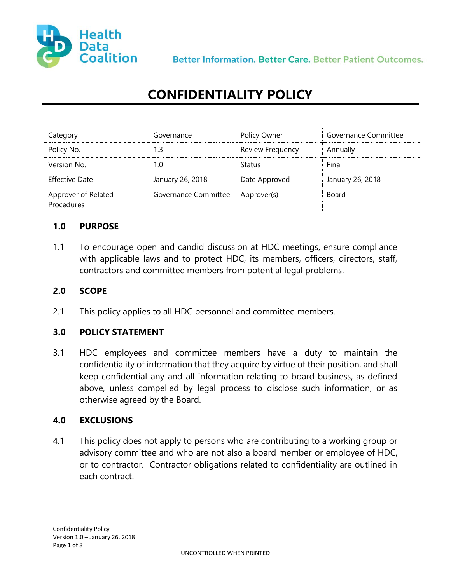

Better Information, Better Care, Better Patient Outcomes.

# **CONFIDENTIALITY POLICY**

| Category                          | Governance           | Policy Owner            | Governance Committee |
|-----------------------------------|----------------------|-------------------------|----------------------|
| Policy No.                        | 1.3                  | <b>Review Frequency</b> | Annually             |
| Version No.                       | 1.0                  | <b>Status</b>           | Final                |
| <b>Effective Date</b>             | January 26, 2018     | Date Approved           | January 26, 2018     |
| Approver of Related<br>Procedures | Governance Committee | Approver(s)             | Board                |

#### **1.0 PURPOSE**

1.1 To encourage open and candid discussion at HDC meetings, ensure compliance with applicable laws and to protect HDC, its members, officers, directors, staff, contractors and committee members from potential legal problems.

### **2.0 SCOPE**

2.1 This policy applies to all HDC personnel and committee members.

#### **3.0 POLICY STATEMENT**

3.1 HDC employees and committee members have a duty to maintain the confidentiality of information that they acquire by virtue of their position, and shall keep confidential any and all information relating to board business, as defined above, unless compelled by legal process to disclose such information, or as otherwise agreed by the Board.

#### **4.0 EXCLUSIONS**

4.1 This policy does not apply to persons who are contributing to a working group or advisory committee and who are not also a board member or employee of HDC, or to contractor. Contractor obligations related to confidentiality are outlined in each contract.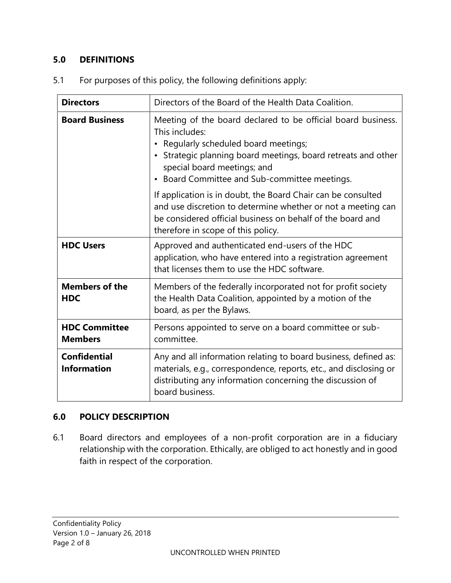## **5.0 DEFINITIONS**

| <b>Directors</b>                          | Directors of the Board of the Health Data Coalition.                                                                                                                                                                                                                                           |  |
|-------------------------------------------|------------------------------------------------------------------------------------------------------------------------------------------------------------------------------------------------------------------------------------------------------------------------------------------------|--|
| <b>Board Business</b>                     | Meeting of the board declared to be official board business.<br>This includes:<br>Regularly scheduled board meetings;<br>$\bullet$<br>• Strategic planning board meetings, board retreats and other<br>special board meetings; and<br>Board Committee and Sub-committee meetings.<br>$\bullet$ |  |
|                                           | If application is in doubt, the Board Chair can be consulted<br>and use discretion to determine whether or not a meeting can<br>be considered official business on behalf of the board and<br>therefore in scope of this policy.                                                               |  |
| <b>HDC Users</b>                          | Approved and authenticated end-users of the HDC<br>application, who have entered into a registration agreement<br>that licenses them to use the HDC software.                                                                                                                                  |  |
| <b>Members of the</b><br><b>HDC</b>       | Members of the federally incorporated not for profit society<br>the Health Data Coalition, appointed by a motion of the<br>board, as per the Bylaws.                                                                                                                                           |  |
| <b>HDC Committee</b><br><b>Members</b>    | Persons appointed to serve on a board committee or sub-<br>committee.                                                                                                                                                                                                                          |  |
| <b>Confidential</b><br><b>Information</b> | Any and all information relating to board business, defined as:<br>materials, e.g., correspondence, reports, etc., and disclosing or<br>distributing any information concerning the discussion of<br>board business.                                                                           |  |

5.1 For purposes of this policy, the following definitions apply:

# **6.0 POLICY DESCRIPTION**

6.1 Board directors and employees of a non-profit corporation are in a fiduciary relationship with the corporation. Ethically, are obliged to act honestly and in good faith in respect of the corporation.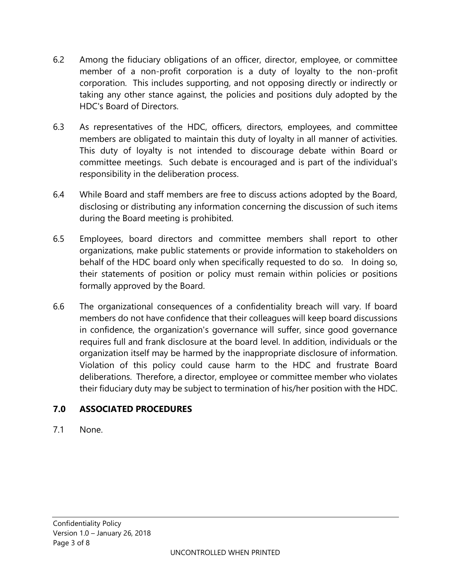- 6.2 Among the fiduciary obligations of an officer, director, employee, or committee member of a non-profit corporation is a duty of loyalty to the non-profit corporation. This includes supporting, and not opposing directly or indirectly or taking any other stance against, the policies and positions duly adopted by the HDC's Board of Directors.
- 6.3 As representatives of the HDC, officers, directors, employees, and committee members are obligated to maintain this duty of loyalty in all manner of activities. This duty of loyalty is not intended to discourage debate within Board or committee meetings. Such debate is encouraged and is part of the individual's responsibility in the deliberation process.
- 6.4 While Board and staff members are free to discuss actions adopted by the Board, disclosing or distributing any information concerning the discussion of such items during the Board meeting is prohibited.
- 6.5 Employees, board directors and committee members shall report to other organizations, make public statements or provide information to stakeholders on behalf of the HDC board only when specifically requested to do so. In doing so, their statements of position or policy must remain within policies or positions formally approved by the Board.
- 6.6 The organizational consequences of a confidentiality breach will vary. If board members do not have confidence that their colleagues will keep board discussions in confidence, the organization's governance will suffer, since good governance requires full and frank disclosure at the board level. In addition, individuals or the organization itself may be harmed by the inappropriate disclosure of information. Violation of this policy could cause harm to the HDC and frustrate Board deliberations. Therefore, a director, employee or committee member who violates their fiduciary duty may be subject to termination of his/her position with the HDC.

# **7.0 ASSOCIATED PROCEDURES**

7.1 None.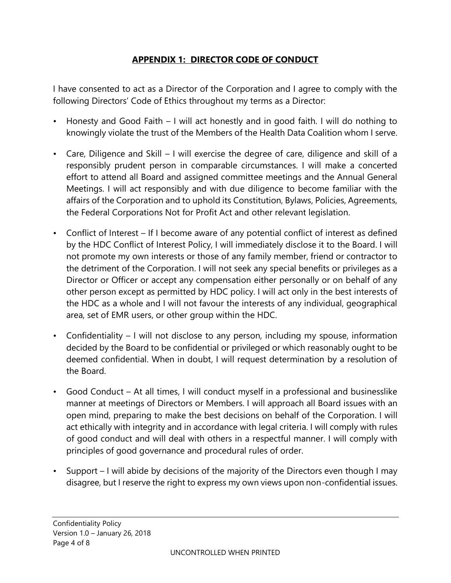## **APPENDIX 1: DIRECTOR CODE OF CONDUCT**

I have consented to act as a Director of the Corporation and I agree to comply with the following Directors' Code of Ethics throughout my terms as a Director:

- Honesty and Good Faith I will act honestly and in good faith. I will do nothing to knowingly violate the trust of the Members of the Health Data Coalition whom I serve.
- Care, Diligence and Skill I will exercise the degree of care, diligence and skill of a responsibly prudent person in comparable circumstances. I will make a concerted effort to attend all Board and assigned committee meetings and the Annual General Meetings. I will act responsibly and with due diligence to become familiar with the affairs of the Corporation and to uphold its Constitution, Bylaws, Policies, Agreements, the Federal Corporations Not for Profit Act and other relevant legislation.
- Conflict of Interest If I become aware of any potential conflict of interest as defined by the HDC Conflict of Interest Policy, I will immediately disclose it to the Board. I will not promote my own interests or those of any family member, friend or contractor to the detriment of the Corporation. I will not seek any special benefits or privileges as a Director or Officer or accept any compensation either personally or on behalf of any other person except as permitted by HDC policy. I will act only in the best interests of the HDC as a whole and I will not favour the interests of any individual, geographical area, set of EMR users, or other group within the HDC.
- Confidentiality I will not disclose to any person, including my spouse, information decided by the Board to be confidential or privileged or which reasonably ought to be deemed confidential. When in doubt, I will request determination by a resolution of the Board.
- Good Conduct At all times, I will conduct myself in a professional and businesslike manner at meetings of Directors or Members. I will approach all Board issues with an open mind, preparing to make the best decisions on behalf of the Corporation. I will act ethically with integrity and in accordance with legal criteria. I will comply with rules of good conduct and will deal with others in a respectful manner. I will comply with principles of good governance and procedural rules of order.
- Support I will abide by decisions of the majority of the Directors even though I may disagree, but I reserve the right to express my own views upon non-confidential issues.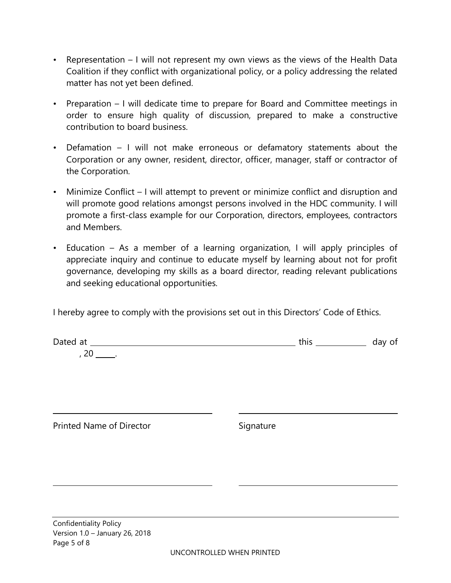- Representation I will not represent my own views as the views of the Health Data Coalition if they conflict with organizational policy, or a policy addressing the related matter has not yet been defined.
- Preparation I will dedicate time to prepare for Board and Committee meetings in order to ensure high quality of discussion, prepared to make a constructive contribution to board business.
- Defamation I will not make erroneous or defamatory statements about the Corporation or any owner, resident, director, officer, manager, staff or contractor of the Corporation.
- Minimize Conflict I will attempt to prevent or minimize conflict and disruption and will promote good relations amongst persons involved in the HDC community. I will promote a first-class example for our Corporation, directors, employees, contractors and Members.
- Education As a member of a learning organization, I will apply principles of appreciate inquiry and continue to educate myself by learning about not for profit governance, developing my skills as a board director, reading relevant publications and seeking educational opportunities.

I hereby agree to comply with the provisions set out in this Directors' Code of Ethics.

| Dated<br>ı at | ر اا ا ب |  |
|---------------|----------|--|
| ∼             |          |  |

Printed Name of Director Signature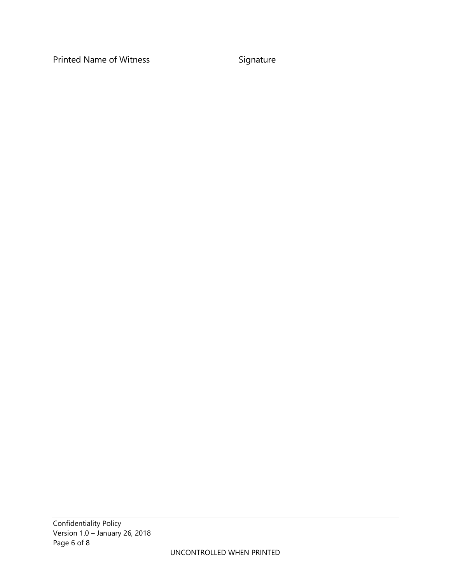Printed Name of Witness Signature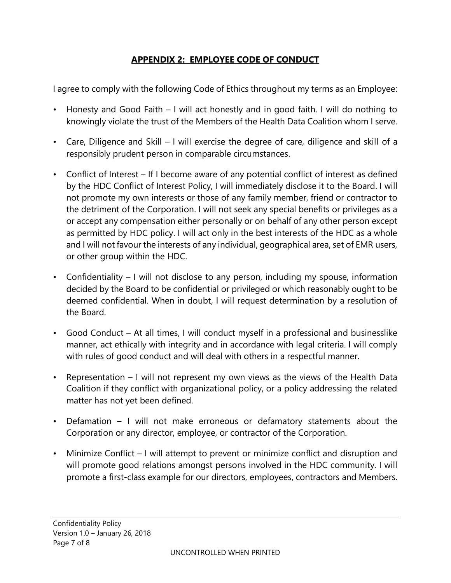## **APPENDIX 2: EMPLOYEE CODE OF CONDUCT**

I agree to comply with the following Code of Ethics throughout my terms as an Employee:

- Honesty and Good Faith I will act honestly and in good faith. I will do nothing to knowingly violate the trust of the Members of the Health Data Coalition whom I serve.
- Care, Diligence and Skill I will exercise the degree of care, diligence and skill of a responsibly prudent person in comparable circumstances.
- Conflict of Interest If I become aware of any potential conflict of interest as defined by the HDC Conflict of Interest Policy, I will immediately disclose it to the Board. I will not promote my own interests or those of any family member, friend or contractor to the detriment of the Corporation. I will not seek any special benefits or privileges as a or accept any compensation either personally or on behalf of any other person except as permitted by HDC policy. I will act only in the best interests of the HDC as a whole and I will not favour the interests of any individual, geographical area, set of EMR users, or other group within the HDC.
- Confidentiality I will not disclose to any person, including my spouse, information decided by the Board to be confidential or privileged or which reasonably ought to be deemed confidential. When in doubt, I will request determination by a resolution of the Board.
- Good Conduct At all times, I will conduct myself in a professional and businesslike manner, act ethically with integrity and in accordance with legal criteria. I will comply with rules of good conduct and will deal with others in a respectful manner.
- Representation I will not represent my own views as the views of the Health Data Coalition if they conflict with organizational policy, or a policy addressing the related matter has not yet been defined.
- Defamation I will not make erroneous or defamatory statements about the Corporation or any director, employee, or contractor of the Corporation.
- Minimize Conflict I will attempt to prevent or minimize conflict and disruption and will promote good relations amongst persons involved in the HDC community. I will promote a first-class example for our directors, employees, contractors and Members.